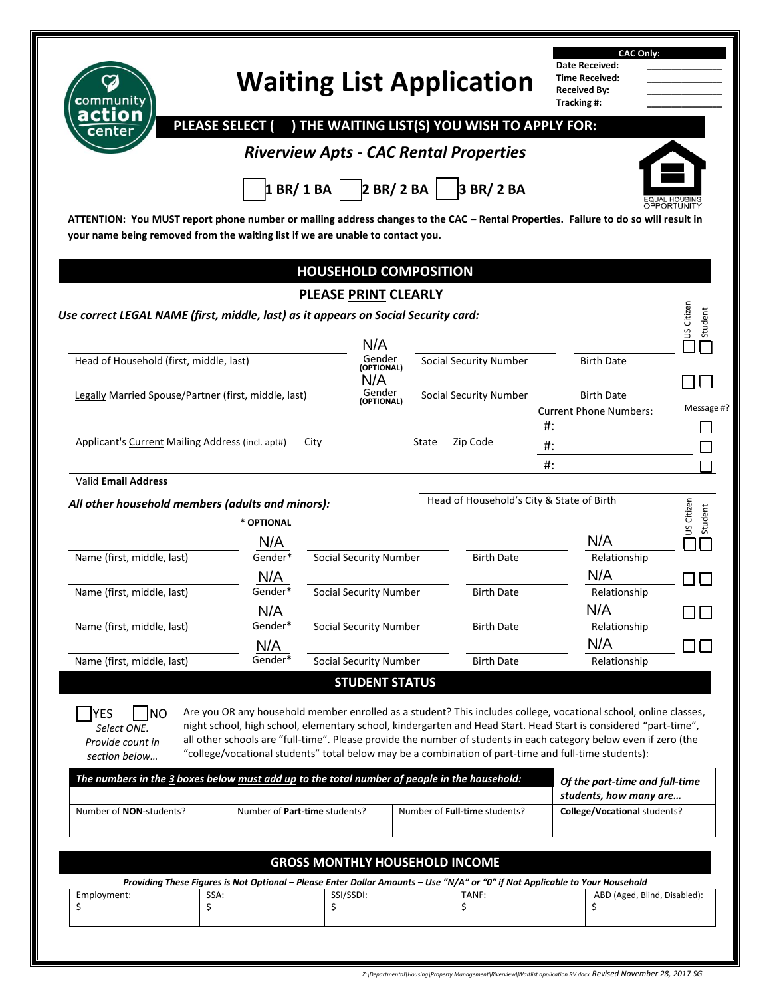| communitv<br>action                                                                                                                                                                                                                                                                                                                                                          |                               |                 |                               | <b>Waiting List Application</b>                                                                                                                                                                                                                                                                                                                                                                                                                                   | <b>CAC Only:</b><br>Date Received:<br><b>Time Received:</b><br><b>Received By:</b><br>Tracking #: |                                              |
|------------------------------------------------------------------------------------------------------------------------------------------------------------------------------------------------------------------------------------------------------------------------------------------------------------------------------------------------------------------------------|-------------------------------|-----------------|-------------------------------|-------------------------------------------------------------------------------------------------------------------------------------------------------------------------------------------------------------------------------------------------------------------------------------------------------------------------------------------------------------------------------------------------------------------------------------------------------------------|---------------------------------------------------------------------------------------------------|----------------------------------------------|
|                                                                                                                                                                                                                                                                                                                                                                              | <b>PLEASE SELECT (</b>        |                 |                               | ) THE WAITING LIST(S) YOU WISH TO APPLY FOR:<br><b>Riverview Apts - CAC Rental Properties</b>                                                                                                                                                                                                                                                                                                                                                                     |                                                                                                   |                                              |
|                                                                                                                                                                                                                                                                                                                                                                              |                               |                 |                               |                                                                                                                                                                                                                                                                                                                                                                                                                                                                   |                                                                                                   |                                              |
|                                                                                                                                                                                                                                                                                                                                                                              |                               | 1 BR/ 1 BA      | 2 BR/2 BA                     | 3 BR/ 2 BA                                                                                                                                                                                                                                                                                                                                                                                                                                                        |                                                                                                   |                                              |
| ATTENTION: You MUST report phone number or mailing address changes to the CAC - Rental Properties. Failure to do so will result in                                                                                                                                                                                                                                           |                               |                 |                               |                                                                                                                                                                                                                                                                                                                                                                                                                                                                   |                                                                                                   |                                              |
| your name being removed from the waiting list if we are unable to contact you.                                                                                                                                                                                                                                                                                               |                               |                 |                               |                                                                                                                                                                                                                                                                                                                                                                                                                                                                   |                                                                                                   |                                              |
|                                                                                                                                                                                                                                                                                                                                                                              |                               |                 |                               |                                                                                                                                                                                                                                                                                                                                                                                                                                                                   |                                                                                                   |                                              |
|                                                                                                                                                                                                                                                                                                                                                                              |                               |                 |                               | <b>HOUSEHOLD COMPOSITION</b>                                                                                                                                                                                                                                                                                                                                                                                                                                      |                                                                                                   |                                              |
|                                                                                                                                                                                                                                                                                                                                                                              |                               |                 | <b>PLEASE PRINT CLEARLY</b>   |                                                                                                                                                                                                                                                                                                                                                                                                                                                                   |                                                                                                   |                                              |
| Use correct LEGAL NAME (first, middle, last) as it appears on Social Security card:                                                                                                                                                                                                                                                                                          |                               |                 |                               |                                                                                                                                                                                                                                                                                                                                                                                                                                                                   |                                                                                                   | <b>US</b> Citizen<br>Student                 |
|                                                                                                                                                                                                                                                                                                                                                                              |                               |                 | N/A                           |                                                                                                                                                                                                                                                                                                                                                                                                                                                                   |                                                                                                   |                                              |
| Head of Household (first, middle, last)                                                                                                                                                                                                                                                                                                                                      |                               |                 | Gender<br>(OPTIONAL)<br>N/A   | <b>Social Security Number</b>                                                                                                                                                                                                                                                                                                                                                                                                                                     | <b>Birth Date</b>                                                                                 |                                              |
| Legally Married Spouse/Partner (first, middle, last)                                                                                                                                                                                                                                                                                                                         |                               |                 | Gender<br>(OPTIONAL)          | <b>Social Security Number</b>                                                                                                                                                                                                                                                                                                                                                                                                                                     | <b>Birth Date</b>                                                                                 |                                              |
|                                                                                                                                                                                                                                                                                                                                                                              |                               |                 |                               |                                                                                                                                                                                                                                                                                                                                                                                                                                                                   | <b>Current Phone Numbers:</b>                                                                     | Message #?                                   |
| Applicant's Current Mailing Address (incl. apt#)                                                                                                                                                                                                                                                                                                                             |                               | City            |                               | Zip Code<br>State                                                                                                                                                                                                                                                                                                                                                                                                                                                 | $#$ :                                                                                             |                                              |
|                                                                                                                                                                                                                                                                                                                                                                              |                               |                 |                               |                                                                                                                                                                                                                                                                                                                                                                                                                                                                   | $#$ :                                                                                             |                                              |
|                                                                                                                                                                                                                                                                                                                                                                              |                               |                 |                               |                                                                                                                                                                                                                                                                                                                                                                                                                                                                   | $#$ :                                                                                             |                                              |
|                                                                                                                                                                                                                                                                                                                                                                              |                               |                 |                               |                                                                                                                                                                                                                                                                                                                                                                                                                                                                   |                                                                                                   |                                              |
|                                                                                                                                                                                                                                                                                                                                                                              |                               |                 |                               |                                                                                                                                                                                                                                                                                                                                                                                                                                                                   |                                                                                                   |                                              |
|                                                                                                                                                                                                                                                                                                                                                                              |                               |                 |                               | Head of Household's City & State of Birth                                                                                                                                                                                                                                                                                                                                                                                                                         |                                                                                                   |                                              |
|                                                                                                                                                                                                                                                                                                                                                                              | * OPTIONAL                    |                 |                               |                                                                                                                                                                                                                                                                                                                                                                                                                                                                   |                                                                                                   | US Citizen                                   |
|                                                                                                                                                                                                                                                                                                                                                                              | N/A<br>Gender*                |                 | <b>Social Security Number</b> | <b>Birth Date</b>                                                                                                                                                                                                                                                                                                                                                                                                                                                 | N/A<br>Relationship                                                                               |                                              |
|                                                                                                                                                                                                                                                                                                                                                                              |                               |                 |                               |                                                                                                                                                                                                                                                                                                                                                                                                                                                                   | N/A                                                                                               |                                              |
|                                                                                                                                                                                                                                                                                                                                                                              |                               |                 | Social Security Number        | <b>Birth Date</b>                                                                                                                                                                                                                                                                                                                                                                                                                                                 | Relationship                                                                                      |                                              |
|                                                                                                                                                                                                                                                                                                                                                                              | N/A                           |                 |                               |                                                                                                                                                                                                                                                                                                                                                                                                                                                                   | N/A                                                                                               |                                              |
|                                                                                                                                                                                                                                                                                                                                                                              | Gender*                       |                 | Social Security Number        | <b>Birth Date</b>                                                                                                                                                                                                                                                                                                                                                                                                                                                 | Relationship                                                                                      |                                              |
|                                                                                                                                                                                                                                                                                                                                                                              | N/A                           |                 |                               |                                                                                                                                                                                                                                                                                                                                                                                                                                                                   | N/A                                                                                               |                                              |
|                                                                                                                                                                                                                                                                                                                                                                              | Gender*                       |                 | Social Security Number        | <b>Birth Date</b>                                                                                                                                                                                                                                                                                                                                                                                                                                                 | Relationship                                                                                      |                                              |
|                                                                                                                                                                                                                                                                                                                                                                              |                               |                 | <b>STUDENT STATUS</b>         |                                                                                                                                                                                                                                                                                                                                                                                                                                                                   |                                                                                                   |                                              |
| YES<br><b>INO</b><br>Select ONE.<br>Provide count in<br>section below                                                                                                                                                                                                                                                                                                        |                               |                 |                               | Are you OR any household member enrolled as a student? This includes college, vocational school, online classes,<br>night school, high school, elementary school, kindergarten and Head Start. Head Start is considered "part-time",<br>all other schools are "full-time". Please provide the number of students in each category below even if zero (the<br>"college/vocational students" total below may be a combination of part-time and full-time students): |                                                                                                   |                                              |
|                                                                                                                                                                                                                                                                                                                                                                              |                               |                 |                               |                                                                                                                                                                                                                                                                                                                                                                                                                                                                   | Of the part-time and full-time                                                                    |                                              |
|                                                                                                                                                                                                                                                                                                                                                                              | Number of Part-time students? |                 |                               | Number of Full-time students?                                                                                                                                                                                                                                                                                                                                                                                                                                     | students, how many are<br>College/Vocational students?                                            |                                              |
|                                                                                                                                                                                                                                                                                                                                                                              |                               |                 |                               |                                                                                                                                                                                                                                                                                                                                                                                                                                                                   |                                                                                                   |                                              |
|                                                                                                                                                                                                                                                                                                                                                                              |                               |                 |                               | <b>GROSS MONTHLY HOUSEHOLD INCOME</b>                                                                                                                                                                                                                                                                                                                                                                                                                             |                                                                                                   |                                              |
| <b>Valid Email Address</b><br>All other household members (adults and minors):<br>Name (first, middle, last)<br>Name (first, middle, last)<br>Name (first, middle, last)<br>Name (first, middle, last)<br>The numbers in the 3 boxes below must add up to the total number of people in the household:<br>Number of <b>NON</b> -students?<br>Employment:<br>SSA:<br>\$<br>\$ |                               | SSI/SSDI:<br>\$ |                               | Providing These Figures is Not Optional - Please Enter Dollar Amounts - Use "N/A" or "0" if Not Applicable to Your Household<br>TANF:<br>\$                                                                                                                                                                                                                                                                                                                       | \$                                                                                                | Student<br>П<br>ABD (Aged, Blind, Disabled): |